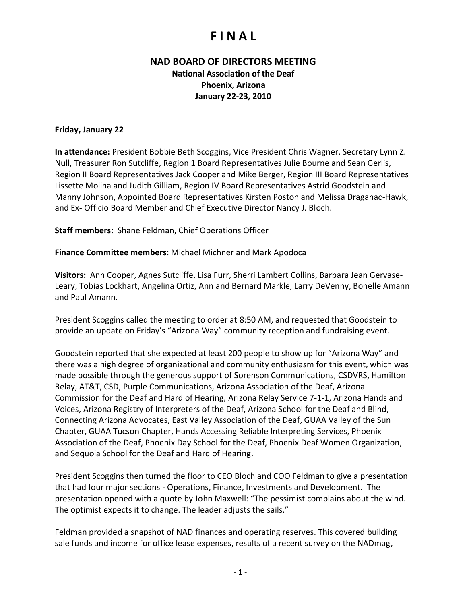### **NAD BOARD OF DIRECTORS MEETING**

**National Association of the Deaf Phoenix, Arizona January 22-23, 2010**

### **Friday, January 22**

**In attendance:** President Bobbie Beth Scoggins, Vice President Chris Wagner, Secretary Lynn Z. Null, Treasurer Ron Sutcliffe, Region 1 Board Representatives Julie Bourne and Sean Gerlis, Region II Board Representatives Jack Cooper and Mike Berger, Region III Board Representatives Lissette Molina and Judith Gilliam, Region IV Board Representatives Astrid Goodstein and Manny Johnson, Appointed Board Representatives Kirsten Poston and Melissa Draganac-Hawk, and Ex- Officio Board Member and Chief Executive Director Nancy J. Bloch.

**Staff members:** Shane Feldman, Chief Operations Officer

**Finance Committee members**: Michael Michner and Mark Apodoca

**Visitors:** Ann Cooper, Agnes Sutcliffe, Lisa Furr, Sherri Lambert Collins, Barbara Jean Gervase-Leary, Tobias Lockhart, Angelina Ortiz, Ann and Bernard Markle, Larry DeVenny, Bonelle Amann and Paul Amann.

President Scoggins called the meeting to order at 8:50 AM, and requested that Goodstein to provide an update on Friday's "Arizona Way" community reception and fundraising event.

Goodstein reported that she expected at least 200 people to show up for "Arizona Way" and there was a high degree of organizational and community enthusiasm for this event, which was made possible through the generous support of Sorenson Communications, CSDVRS, Hamilton Relay, AT&T, CSD, Purple Communications, Arizona Association of the Deaf, Arizona Commission for the Deaf and Hard of Hearing, Arizona Relay Service 7-1-1, Arizona Hands and Voices, Arizona Registry of Interpreters of the Deaf, Arizona School for the Deaf and Blind, Connecting Arizona Advocates, East Valley Association of the Deaf, GUAA Valley of the Sun Chapter, GUAA Tucson Chapter, Hands Accessing Reliable Interpreting Services, Phoenix Association of the Deaf, Phoenix Day School for the Deaf, Phoenix Deaf Women Organization, and Sequoia School for the Deaf and Hard of Hearing.

President Scoggins then turned the floor to CEO Bloch and COO Feldman to give a presentation that had four major sections - Operations, Finance, Investments and Development. The presentation opened with a quote by John Maxwell: "The pessimist complains about the wind. The optimist expects it to change. The leader adjusts the sails."

Feldman provided a snapshot of NAD finances and operating reserves. This covered building sale funds and income for office lease expenses, results of a recent survey on the NADmag,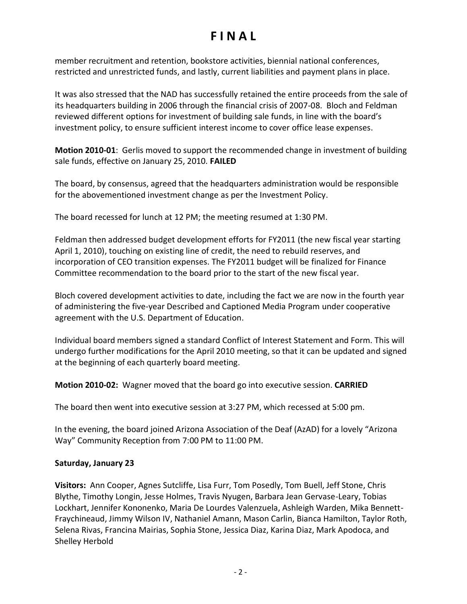member recruitment and retention, bookstore activities, biennial national conferences, restricted and unrestricted funds, and lastly, current liabilities and payment plans in place.

It was also stressed that the NAD has successfully retained the entire proceeds from the sale of its headquarters building in 2006 through the financial crisis of 2007-08. Bloch and Feldman reviewed different options for investment of building sale funds, in line with the board's investment policy, to ensure sufficient interest income to cover office lease expenses.

**Motion 2010-01**: Gerlis moved to support the recommended change in investment of building sale funds, effective on January 25, 2010. **FAILED**

The board, by consensus, agreed that the headquarters administration would be responsible for the abovementioned investment change as per the Investment Policy.

The board recessed for lunch at 12 PM; the meeting resumed at 1:30 PM.

Feldman then addressed budget development efforts for FY2011 (the new fiscal year starting April 1, 2010), touching on existing line of credit, the need to rebuild reserves, and incorporation of CEO transition expenses. The FY2011 budget will be finalized for Finance Committee recommendation to the board prior to the start of the new fiscal year.

Bloch covered development activities to date, including the fact we are now in the fourth year of administering the five-year Described and Captioned Media Program under cooperative agreement with the U.S. Department of Education.

Individual board members signed a standard Conflict of Interest Statement and Form. This will undergo further modifications for the April 2010 meeting, so that it can be updated and signed at the beginning of each quarterly board meeting.

**Motion 2010-02:** Wagner moved that the board go into executive session. **CARRIED**

The board then went into executive session at 3:27 PM, which recessed at 5:00 pm.

In the evening, the board joined Arizona Association of the Deaf (AzAD) for a lovely "Arizona Way" Community Reception from 7:00 PM to 11:00 PM.

### **Saturday, January 23**

**Visitors:** Ann Cooper, Agnes Sutcliffe, Lisa Furr, Tom Posedly, Tom Buell, Jeff Stone, Chris Blythe, Timothy Longin, Jesse Holmes, Travis Nyugen, Barbara Jean Gervase-Leary, Tobias Lockhart, Jennifer Kononenko, Maria De Lourdes Valenzuela, Ashleigh Warden, Mika Bennett-Fraychineaud, Jimmy Wilson IV, Nathaniel Amann, Mason Carlin, Bianca Hamilton, Taylor Roth, Selena Rivas, Francina Mairias, Sophia Stone, Jessica Diaz, Karina Diaz, Mark Apodoca, and Shelley Herbold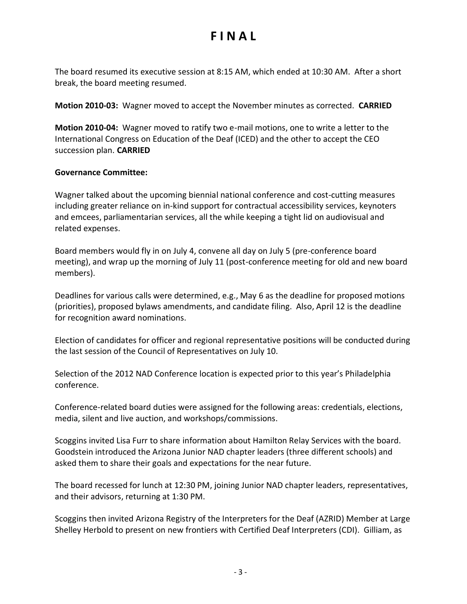The board resumed its executive session at 8:15 AM, which ended at 10:30 AM. After a short break, the board meeting resumed.

**Motion 2010-03:** Wagner moved to accept the November minutes as corrected. **CARRIED**

**Motion 2010-04:** Wagner moved to ratify two e-mail motions, one to write a letter to the International Congress on Education of the Deaf (ICED) and the other to accept the CEO succession plan. **CARRIED**

#### **Governance Committee:**

Wagner talked about the upcoming biennial national conference and cost-cutting measures including greater reliance on in-kind support for contractual accessibility services, keynoters and emcees, parliamentarian services, all the while keeping a tight lid on audiovisual and related expenses.

Board members would fly in on July 4, convene all day on July 5 (pre-conference board meeting), and wrap up the morning of July 11 (post-conference meeting for old and new board members).

Deadlines for various calls were determined, e.g., May 6 as the deadline for proposed motions (priorities), proposed bylaws amendments, and candidate filing. Also, April 12 is the deadline for recognition award nominations.

Election of candidates for officer and regional representative positions will be conducted during the last session of the Council of Representatives on July 10.

Selection of the 2012 NAD Conference location is expected prior to this year's Philadelphia conference.

Conference-related board duties were assigned for the following areas: credentials, elections, media, silent and live auction, and workshops/commissions.

Scoggins invited Lisa Furr to share information about Hamilton Relay Services with the board. Goodstein introduced the Arizona Junior NAD chapter leaders (three different schools) and asked them to share their goals and expectations for the near future.

The board recessed for lunch at 12:30 PM, joining Junior NAD chapter leaders, representatives, and their advisors, returning at 1:30 PM.

Scoggins then invited Arizona Registry of the Interpreters for the Deaf (AZRID) Member at Large Shelley Herbold to present on new frontiers with Certified Deaf Interpreters (CDI). Gilliam, as